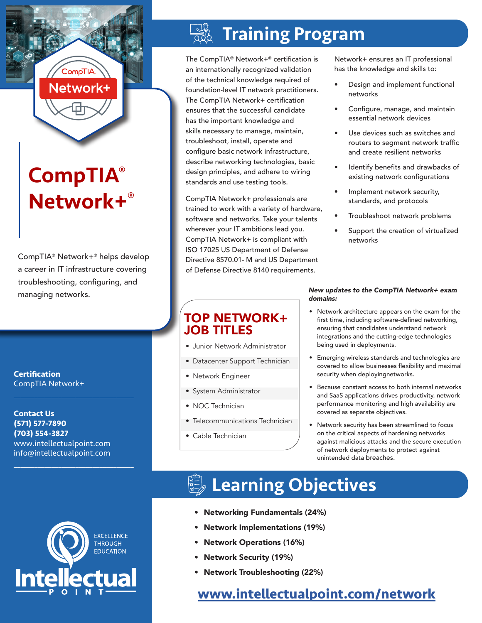# CompTIA® Network+®

**AITamoC** 

Network+

CompTIA® Network+® helps develop a career in IT infrastructure covering troubleshooting, configuring, and managing networks.

**Certification** CompTIA Network+

**Contact Us (571) 577-7890 (703) 554-3827** www.intellectualpoint.com info@intellectualpoint.com

 $\mathcal{L}_\text{max}$  , and the set of the set of the set of the set of the set of the set of the set of the set of the set of the set of the set of the set of the set of the set of the set of the set of the set of the set of the

 $\mathcal{L}_\text{max}$  , and the set of the set of the set of the set of the set of the set of the set of the set of the set of the set of the set of the set of the set of the set of the set of the set of the set of the set of the

**EXCELLENCE THROUGH EDUCATION** 

## Training Program

The CompTIA® Network+® certification is an internationally recognized validation of the technical knowledge required of foundation-level IT network practitioners. The CompTIA Network+ certification ensures that the successful candidate has the important knowledge and skills necessary to manage, maintain, troubleshoot, install, operate and configure basic network infrastructure, describe networking technologies, basic design principles, and adhere to wiring standards and use testing tools.

CompTIA Network+ professionals are trained to work with a variety of hardware, software and networks. Take your talents wherever your IT ambitions lead you. CompTIA Network+ is compliant with ISO 17025 US Department of Defense Directive 8570.01- M and US Department of Defense Directive 8140 requirements.

Network+ ensures an IT professional has the knowledge and skills to:

- Design and implement functional networks
- Configure, manage, and maintain essential network devices
- Use devices such as switches and routers to segment network traffic and create resilient networks
- Identify benefits and drawbacks of existing network configurations
- Implement network security, standards, and protocols
- Troubleshoot network problems
- Support the creation of virtualized networks

### TOP NETWORK+ JOB TITLES

- Junior Network Administrator
- Datacenter Support Technician
- Network Engineer
- System Administrator
- NOC Technician
- Telecommunications Technician
- Cable Technician

#### *New updates to the CompTIA Network+ exam domains:*

- Network architecture appears on the exam for the first time, including software-defined networking, ensuring that candidates understand network integrations and the cutting-edge technologies being used in deployments.
- Emerging wireless standards and technologies are covered to allow businesses flexibility and maximal security when deployingnetworks.
- Because constant access to both internal networks and SaaS applications drives productivity, network performance monitoring and high availability are covered as separate objectives.
- Network security has been streamlined to focus on the critical aspects of hardening networks against malicious attacks and the secure execution of network deployments to protect against unintended data breaches.

## Learning Objectives

- Networking Fundamentals (24%)
- Network Implementations (19%)
- Network Operations (16%)
- Network Security (19%)
- Network Troubleshooting (22%)

## **[www.intellectualpoint.com/n](https://www.intellectualpoint.com/product/comptia-network/)etwork**